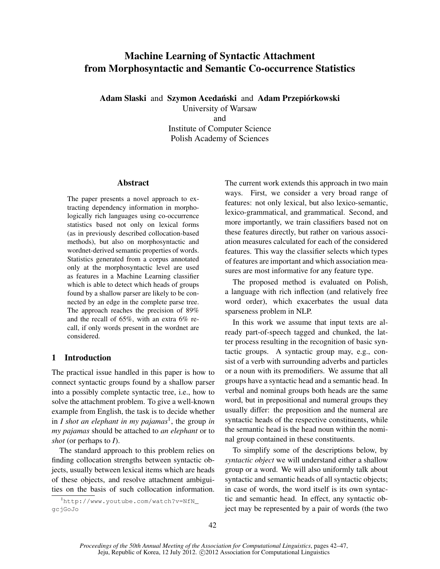# Machine Learning of Syntactic Attachment from Morphosyntactic and Semantic Co-occurrence Statistics

Adam Slaski and Szymon Acedański and Adam Przepiórkowski

University of Warsaw and Institute of Computer Science Polish Academy of Sciences

## Abstract

The paper presents a novel approach to extracting dependency information in morphologically rich languages using co-occurrence statistics based not only on lexical forms (as in previously described collocation-based methods), but also on morphosyntactic and wordnet-derived semantic properties of words. Statistics generated from a corpus annotated only at the morphosyntactic level are used as features in a Machine Learning classifier which is able to detect which heads of groups found by a shallow parser are likely to be connected by an edge in the complete parse tree. The approach reaches the precision of 89% and the recall of 65%, with an extra 6% recall, if only words present in the wordnet are considered.

# 1 Introduction

The practical issue handled in this paper is how to connect syntactic groups found by a shallow parser into a possibly complete syntactic tree, i.e., how to solve the attachment problem. To give a well-known example from English, the task is to decide whether in *I shot an elephant in my pajamas*<sup>1</sup> , the group *in my pajamas* should be attached to *an elephant* or to *shot* (or perhaps to *I*).

The standard approach to this problem relies on finding collocation strengths between syntactic objects, usually between lexical items which are heads of these objects, and resolve attachment ambiguities on the basis of such collocation information.

<sup>1</sup>http://www.youtube.com/watch?v=NfN\_ gcjGoJo

The current work extends this approach in two main ways. First, we consider a very broad range of features: not only lexical, but also lexico-semantic, lexico-grammatical, and grammatical. Second, and more importantly, we train classifiers based not on these features directly, but rather on various association measures calculated for each of the considered features. This way the classifier selects which types of features are important and which association measures are most informative for any feature type.

The proposed method is evaluated on Polish, a language with rich inflection (and relatively free word order), which exacerbates the usual data sparseness problem in NLP.

In this work we assume that input texts are already part-of-speech tagged and chunked, the latter process resulting in the recognition of basic syntactic groups. A syntactic group may, e.g., consist of a verb with surrounding adverbs and particles or a noun with its premodifiers. We assume that all groups have a syntactic head and a semantic head. In verbal and nominal groups both heads are the same word, but in prepositional and numeral groups they usually differ: the preposition and the numeral are syntactic heads of the respective constituents, while the semantic head is the head noun within the nominal group contained in these constituents.

To simplify some of the descriptions below, by *syntactic object* we will understand either a shallow group or a word. We will also uniformly talk about syntactic and semantic heads of all syntactic objects; in case of words, the word itself is its own syntactic and semantic head. In effect, any syntactic object may be represented by a pair of words (the two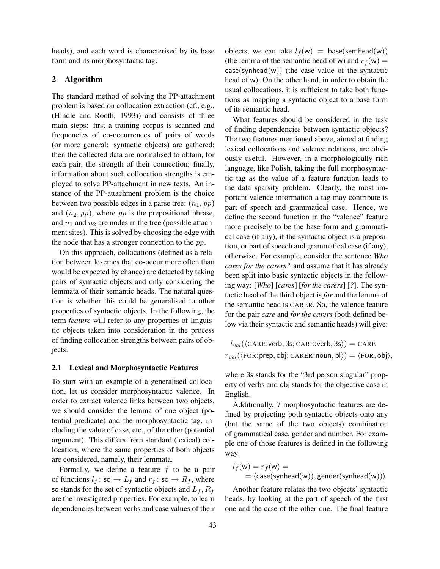heads), and each word is characterised by its base form and its morphosyntactic tag.

#### 2 Algorithm

The standard method of solving the PP-attachment problem is based on collocation extraction (cf., e.g., (Hindle and Rooth, 1993)) and consists of three main steps: first a training corpus is scanned and frequencies of co-occurrences of pairs of words (or more general: syntactic objects) are gathered; then the collected data are normalised to obtain, for each pair, the strength of their connection; finally, information about such collocation strengths is employed to solve PP-attachment in new texts. An instance of the PP-attachment problem is the choice between two possible edges in a parse tree:  $(n_1, pp)$ and  $(n_2, pp)$ , where pp is the prepositional phrase, and  $n_1$  and  $n_2$  are nodes in the tree (possible attachment sites). This is solved by choosing the edge with the node that has a stronger connection to the  $pp$ .

On this approach, collocations (defined as a relation between lexemes that co-occur more often than would be expected by chance) are detected by taking pairs of syntactic objects and only considering the lemmata of their semantic heads. The natural question is whether this could be generalised to other properties of syntactic objects. In the following, the term *feature* will refer to any properties of linguistic objects taken into consideration in the process of finding collocation strengths between pairs of objects.

#### 2.1 Lexical and Morphosyntactic Features

To start with an example of a generalised collocation, let us consider morphosyntactic valence. In order to extract valence links between two objects, we should consider the lemma of one object (potential predicate) and the morphosyntactic tag, including the value of case, etc., of the other (potential argument). This differs from standard (lexical) collocation, where the same properties of both objects are considered, namely, their lemmata.

Formally, we define a feature  $f$  to be a pair of functions  $l_f$ : so  $\rightarrow L_f$  and  $r_f$ : so  $\rightarrow R_f$ , where so stands for the set of syntactic objects and  $L_f$ ,  $R_f$ are the investigated properties. For example, to learn dependencies between verbs and case values of their objects, we can take  $l_f(w)$  = base(semhead(w)) (the lemma of the semantic head of w) and  $r_f(w)$  =  $case(synhead(w))$  (the case value of the syntactic head of w). On the other hand, in order to obtain the usual collocations, it is sufficient to take both functions as mapping a syntactic object to a base form of its semantic head.

What features should be considered in the task of finding dependencies between syntactic objects? The two features mentioned above, aimed at finding lexical collocations and valence relations, are obviously useful. However, in a morphologically rich language, like Polish, taking the full morphosyntactic tag as the value of a feature function leads to the data sparsity problem. Clearly, the most important valence information a tag may contribute is part of speech and grammatical case. Hence, we define the second function in the "valence" feature more precisely to be the base form and grammatical case (if any), if the syntactic object is a preposition, or part of speech and grammatical case (if any), otherwise. For example, consider the sentence *Who cares for the carers?* and assume that it has already been split into basic syntactic objects in the following way: [*Who*] [*cares*] [*for the carers*] [*?*]. The syntactic head of the third object is *for* and the lemma of the semantic head is CARER. So, the valence feature for the pair *care* and *for the carers* (both defined below via their syntactic and semantic heads) will give:

 $l_{val}(\langle \text{CARE:verb}, 3s; \text{CARE:verb}, 3s \rangle) = \text{CARE}$  $r_{val}(\langle \text{FOR:prep, obj}; \text{CARER:noun}, \text{pl}\rangle) = \langle \text{FOR, obj}\rangle,$ 

where 3s stands for the "3rd person singular" property of verbs and obj stands for the objective case in English.

Additionally, 7 morphosyntactic features are defined by projecting both syntactic objects onto any (but the same of the two objects) combination of grammatical case, gender and number. For example one of those features is defined in the following way:

$$
l_f(w) = r_f(w) =
$$
  
=  $\langle \text{case}(\text{synhead}(w)), \text{gender}(\text{synhead}(w)) \rangle.$ 

Another feature relates the two objects' syntactic heads, by looking at the part of speech of the first one and the case of the other one. The final feature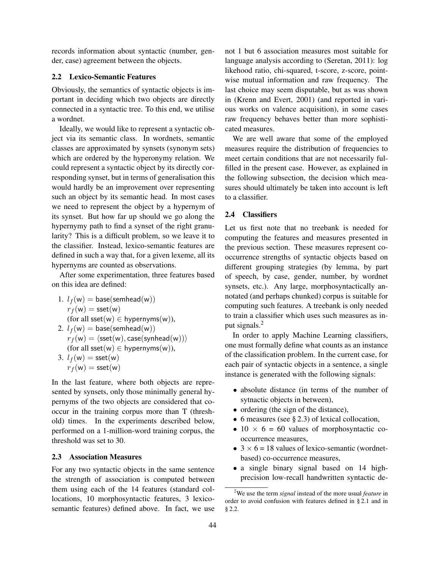records information about syntactic (number, gender, case) agreement between the objects.

## 2.2 Lexico-Semantic Features

Obviously, the semantics of syntactic objects is important in deciding which two objects are directly connected in a syntactic tree. To this end, we utilise a wordnet.

Ideally, we would like to represent a syntactic object via its semantic class. In wordnets, semantic classes are approximated by synsets (synonym sets) which are ordered by the hyperonymy relation. We could represent a syntactic object by its directly corresponding synset, but in terms of generalisation this would hardly be an improvement over representing such an object by its semantic head. In most cases we need to represent the object by a hypernym of its synset. But how far up should we go along the hypernymy path to find a synset of the right granularity? This is a difficult problem, so we leave it to the classifier. Instead, lexico-semantic features are defined in such a way that, for a given lexeme, all its hypernyms are counted as observations.

After some experimentation, three features based on this idea are defined:

1. 
$$
l_f(w) = \text{base}(\text{semhead}(w))
$$
\n $r_f(w) = \text{sset}(w)$ \n(for all  $\text{sset}(w) \in \text{hypernyms}(w)$ ),

\n2.  $l_f(w) = \text{base}(\text{semhead}(w))$ \n $r_f(w) = \langle \text{sset}(w), \text{case}(\text{synhead}(w)) \rangle$ \n(for all  $\text{sset}(w) \in \text{hypernyms}(w)$ ),

\n3.  $l_f(w) = \text{sset}(w)$ 

 $r_f(w) = \textsf{sset}(w)$ 

In the last feature, where both objects are represented by synsets, only those minimally general hypernyms of the two objects are considered that cooccur in the training corpus more than T (threshold) times. In the experiments described below, performed on a 1-million-word training corpus, the threshold was set to 30.

#### 2.3 Association Measures

For any two syntactic objects in the same sentence the strength of association is computed between them using each of the 14 features (standard collocations, 10 morphosyntactic features, 3 lexicosemantic features) defined above. In fact, we use not 1 but 6 association measures most suitable for language analysis according to (Seretan, 2011): log likehood ratio, chi-squared, t-score, z-score, pointwise mutual information and raw frequency. The last choice may seem disputable, but as was shown in (Krenn and Evert, 2001) (and reported in various works on valence acquisition), in some cases raw frequency behaves better than more sophisticated measures.

We are well aware that some of the employed measures require the distribution of frequencies to meet certain conditions that are not necessarily fulfilled in the present case. However, as explained in the following subsection, the decision which measures should ultimately be taken into account is left to a classifier.

#### 2.4 Classifiers

Let us first note that no treebank is needed for computing the features and measures presented in the previous section. These measures represent cooccurrence strengths of syntactic objects based on different grouping strategies (by lemma, by part of speech, by case, gender, number, by wordnet synsets, etc.). Any large, morphosyntactically annotated (and perhaps chunked) corpus is suitable for computing such features. A treebank is only needed to train a classifier which uses such measures as input signals.<sup>2</sup>

In order to apply Machine Learning classifiers, one must formally define what counts as an instance of the classification problem. In the current case, for each pair of syntactic objects in a sentence, a single instance is generated with the following signals:

- absolute distance (in terms of the number of sytnactic objects in between),
- ordering (the sign of the distance),
- 6 measures (see § 2.3) of lexical collocation,
- 10  $\times$  6 = 60 values of morphosyntactic cooccurrence measures,
- $3 \times 6 = 18$  values of lexico-semantic (wordnetbased) co-occurrence measures,
- a single binary signal based on 14 highprecision low-recall handwritten syntactic de-

<sup>2</sup>We use the term *signal* instead of the more usual *feature* in order to avoid confusion with features defined in § 2.1 and in § 2.2.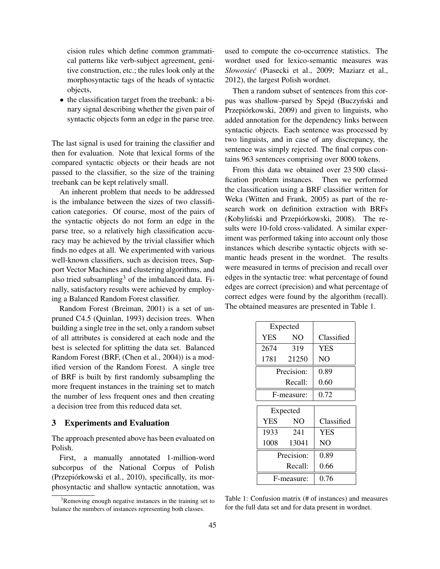cision rules which define common grammatical patterns like verb-subject agreement, genitive construction, etc.; the rules look only at the morphosyntactic tags of the heads of syntactic objects,

• the classification target from the treebank: a binary signal describing whether the given pair of syntactic objects form an edge in the parse tree.

The last signal is used for training the classifier and then for evaluation. Note that lexical forms of the compared syntactic objects or their heads are not passed to the classifier, so the size of the training treebank can be kept relatively small.

An inherent problem that needs to be addressed is the imbalance between the sizes of two classification categories. Of course, most of the pairs of the syntactic objects do not form an edge in the parse tree, so a relatively high classification accuracy may be achieved by the trivial classifier which finds no edges at all. We experimented with various well-known classifiers, such as decision trees, Support Vector Machines and clustering algorithms, and also tried subsampling<sup>3</sup> of the imbalanced data. Finally, satisfactory results were achieved by employing a Balanced Random Forest classifier.

Random Forest (Breiman, 2001) is a set of unpruned C4.5 (Quinlan, 1993) decision trees. When building a single tree in the set, only a random subset of all attributes is considered at each node and the best is selected for splitting the data set. Balanced Random Forest (BRF, (Chen et al., 2004)) is a modified version of the Random Forest. A single tree of BRF is built by first randomly subsampling the more frequent instances in the training set to match the number of less frequent ones and then creating a decision tree from this reduced data set.

#### 3 Experiments and Evaluation

The approach presented above has been evaluated on Polish.

First, a manually annotated 1-million-word subcorpus of the National Corpus of Polish (Przepiórkowski et al., 2010), specifically, its morphosyntactic and shallow syntactic annotation, was used to compute the co-occurrence statistics. The wordnet used for lexico-semantic measures was *Słowosie´c* (Piasecki et al., 2009; Maziarz et al., 2012), the largest Polish wordnet.

Then a random subset of sentences from this corpus was shallow-parsed by Spejd (Buczyński and Przepiórkowski, 2009) and given to linguists, who added annotation for the dependency links between syntactic objects. Each sentence was processed by two linguists, and in case of any discrepancy, the sentence was simply rejected. The final corpus contains 963 sentences comprising over 8000 tokens.

From this data we obtained over 23 500 classification problem instances. Then we performed the classification using a BRF classifier written for Weka (Witten and Frank, 2005) as part of the research work on definition extraction with BRFs (Kobyliński and Przepiórkowski, 2008). The results were 10-fold cross-validated. A similar experiment was performed taking into account only those instances which describe syntactic objects with semantic heads present in the wordnet. The results were measured in terms of precision and recall over edges in the syntactic tree: what percentage of found edges are correct (precision) and what percentage of correct edges were found by the algorithm (recall). The obtained measures are presented in Table 1.

| Expected   |            |            |
|------------|------------|------------|
| <b>YES</b> | NO.        | Classified |
| 2674 319   |            | <b>YES</b> |
|            | 1781 21250 | NO.        |
| Precision: |            | 0.89       |
| Recall:    |            | 0.60       |
| F-measure: |            | 0.72       |
| Expected   |            |            |
| <b>YES</b> | NO.        | Classified |
| 1933       | -241       | <b>YES</b> |
| 1008       | 13041      | NO.        |
| Precision: |            | 0.89       |
| Recall:    |            | 0.66       |
| F-measure: |            | 0.76       |

Table 1: Confusion matrix (# of instances) and measures for the full data set and for data present in wordnet.

<sup>&</sup>lt;sup>3</sup>Removing enough negative instances in the training set to balance the numbers of instances representing both classes.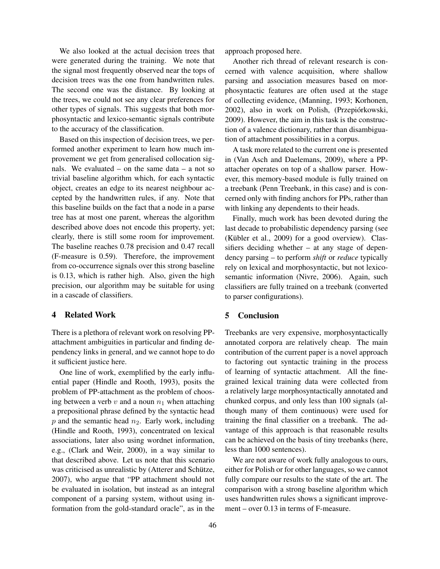We also looked at the actual decision trees that were generated during the training. We note that the signal most frequently observed near the tops of decision trees was the one from handwritten rules. The second one was the distance. By looking at the trees, we could not see any clear preferences for other types of signals. This suggests that both morphosyntactic and lexico-semantic signals contribute to the accuracy of the classification.

Based on this inspection of decision trees, we performed another experiment to learn how much improvement we get from generalised collocation signals. We evaluated – on the same data – a not so trivial baseline algorithm which, for each syntactic object, creates an edge to its nearest neighbour accepted by the handwritten rules, if any. Note that this baseline builds on the fact that a node in a parse tree has at most one parent, whereas the algorithm described above does not encode this property, yet; clearly, there is still some room for improvement. The baseline reaches 0.78 precision and 0.47 recall (F-measure is 0.59). Therefore, the improvement from co-occurrence signals over this strong baseline is 0.13, which is rather high. Also, given the high precision, our algorithm may be suitable for using in a cascade of classifiers.

#### 4 Related Work

There is a plethora of relevant work on resolving PPattachment ambiguities in particular and finding dependency links in general, and we cannot hope to do it sufficient justice here.

One line of work, exemplified by the early influential paper (Hindle and Rooth, 1993), posits the problem of PP-attachment as the problem of choosing between a verb  $v$  and a noun  $n_1$  when attaching a prepositional phrase defined by the syntactic head  $p$  and the semantic head  $n_2$ . Early work, including (Hindle and Rooth, 1993), concentrated on lexical associations, later also using wordnet information, e.g., (Clark and Weir, 2000), in a way similar to that described above. Let us note that this scenario was criticised as unrealistic by (Atterer and Schütze, 2007), who argue that "PP attachment should not be evaluated in isolation, but instead as an integral component of a parsing system, without using information from the gold-standard oracle", as in the approach proposed here.

Another rich thread of relevant research is concerned with valence acquisition, where shallow parsing and association measures based on morphosyntactic features are often used at the stage of collecting evidence, (Manning, 1993; Korhonen, 2002), also in work on Polish, (Przepiórkowski, 2009). However, the aim in this task is the construction of a valence dictionary, rather than disambiguation of attachment possibilities in a corpus.

A task more related to the current one is presented in (Van Asch and Daelemans, 2009), where a PPattacher operates on top of a shallow parser. However, this memory-based module is fully trained on a treebank (Penn Treebank, in this case) and is concerned only with finding anchors for PPs, rather than with linking any dependents to their heads.

Finally, much work has been devoted during the last decade to probabilistic dependency parsing (see (Kübler et al., 2009) for a good overview). Classifiers deciding whether  $-$  at any stage of dependency parsing – to perform *shift* or *reduce* typically rely on lexical and morphosyntactic, but not lexicosemantic information (Nivre, 2006). Again, such classifiers are fully trained on a treebank (converted to parser configurations).

# 5 Conclusion

Treebanks are very expensive, morphosyntactically annotated corpora are relatively cheap. The main contribution of the current paper is a novel approach to factoring out syntactic training in the process of learning of syntactic attachment. All the finegrained lexical training data were collected from a relatively large morphosyntactically annotated and chunked corpus, and only less than 100 signals (although many of them continuous) were used for training the final classifier on a treebank. The advantage of this approach is that reasonable results can be achieved on the basis of tiny treebanks (here, less than 1000 sentences).

We are not aware of work fully analogous to ours, either for Polish or for other languages, so we cannot fully compare our results to the state of the art. The comparison with a strong baseline algorithm which uses handwritten rules shows a significant improvement – over 0.13 in terms of F-measure.